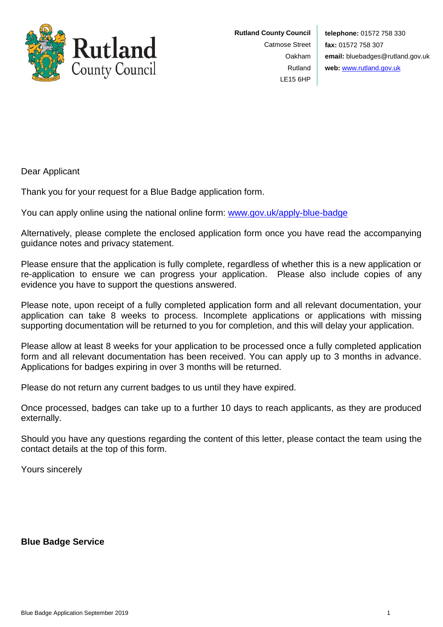

**Rutland County Council** Catmose Street Oakham Rutland LE15 6HP

**telephone:** 01572 758 330 **fax:** 01572 758 307 **email:** bluebadges@rutland.gov.uk **web:** [www.rutland.gov.uk](http://www.rutland.gov.uk/)

Dear Applicant

Thank you for your request for a Blue Badge application form.

You can apply online using the national online form: [www.gov.uk/apply-blue-badge](http://www.gov.uk/apply-blue-badge)

Alternatively, please complete the enclosed application form once you have read the accompanying guidance notes and privacy statement.

Please ensure that the application is fully complete, regardless of whether this is a new application or re-application to ensure we can progress your application. Please also include copies of any evidence you have to support the questions answered.

Please note, upon receipt of a fully completed application form and all relevant documentation, your application can take 8 weeks to process. Incomplete applications or applications with missing supporting documentation will be returned to you for completion, and this will delay your application.

Please allow at least 8 weeks for your application to be processed once a fully completed application form and all relevant documentation has been received. You can apply up to 3 months in advance. Applications for badges expiring in over 3 months will be returned.

Please do not return any current badges to us until they have expired.

Once processed, badges can take up to a further 10 days to reach applicants, as they are produced externally.

Should you have any questions regarding the content of this letter, please contact the team using the contact details at the top of this form.

Yours sincerely

**Blue Badge Service**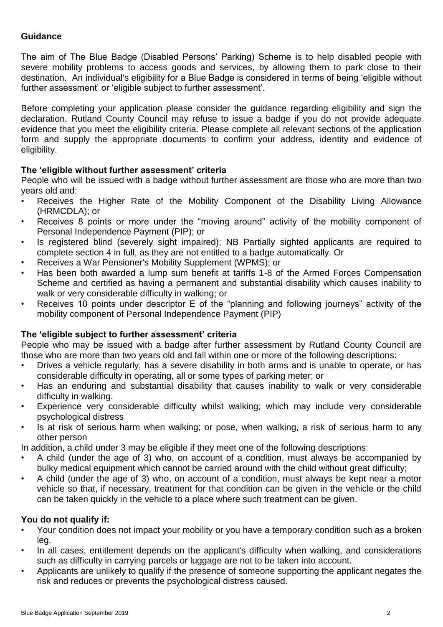# **Guidance**

The aim of The Blue Badge (Disabled Persons' Parking) Scheme is to help disabled people with severe mobility problems to access goods and services, by allowing them to park close to their destination. An individual's eligibility for a Blue Badge is considered in terms of being 'eligible without further assessment' or 'eligible subject to further assessment'.

Before completing your application please consider the guidance regarding eligibility and sign the declaration. Rutland County Council may refuse to issue a badge if you do not provide adequate evidence that you meet the eligibility criteria. Please complete all relevant sections of the application form and supply the appropriate documents to confirm your address, identity and evidence of eligibility.

# **The 'eligible without further assessment' criteria**

People who will be issued with a badge without further assessment are those who are more than two years old and:

- Receives the Higher Rate of the Mobility Component of the Disability Living Allowance (HRMCDLA); or
- Receives 8 points or more under the "moving around" activity of the mobility component of Personal Independence Payment (PIP); or
- Is registered blind (severely sight impaired); NB Partially sighted applicants are required to complete section 4 in full, as they are not entitled to a badge automatically. Or
- Receives a War Pensioner's Mobility Supplement (WPMS); or
- Has been both awarded a lump sum benefit at tariffs 1-8 of the Armed Forces Compensation Scheme and certified as having a permanent and substantial disability which causes inability to walk or very considerable difficulty in walking; or
- Receives 10 points under descriptor E of the "planning and following journeys" activity of the mobility component of Personal Independence Payment (PIP)

# **The 'eligible subject to further assessment' criteria**

People who may be issued with a badge after further assessment by Rutland County Council are those who are more than two years old and fall within one or more of the following descriptions:

- Drives a vehicle regularly, has a severe disability in both arms and is unable to operate, or has considerable difficulty in operating, all or some types of parking meter; or
- Has an enduring and substantial disability that causes inability to walk or very considerable difficulty in walking.
- Experience very considerable difficulty whilst walking; which may include very considerable psychological distress
- Is at risk of serious harm when walking; or pose, when walking, a risk of serious harm to any other person

In addition, a child under 3 may be eligible if they meet one of the following descriptions:

- A child (under the age of 3) who, on account of a condition, must always be accompanied by bulky medical equipment which cannot be carried around with the child without great difficulty;
- A child (under the age of 3) who, on account of a condition, must always be kept near a motor vehicle so that, if necessary, treatment for that condition can be given in the vehicle or the child can be taken quickly in the vehicle to a place where such treatment can be given.

# **You do not qualify if:**

- Your condition does not impact your mobility or you have a temporary condition such as a broken leg.
- In all cases, entitlement depends on the applicant's difficulty when walking, and considerations such as difficulty in carrying parcels or luggage are not to be taken into account.
- Applicants are unlikely to qualify if the presence of someone supporting the applicant negates the risk and reduces or prevents the psychological distress caused.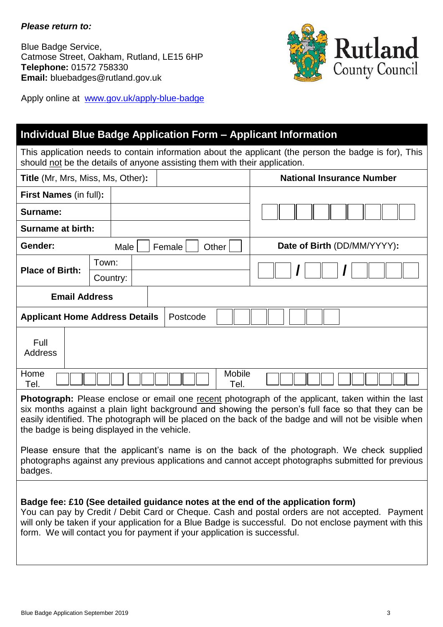# *Please return to:*

Blue Badge Service, Catmose Street, Oakham, Rutland, LE15 6HP **Telephone:** 01572 758330 **Email:** bluebadges@rutland.gov.uk



Apply online at [www.gov.uk/apply-blue-badge](http://www.gov.uk/apply-blue-badge)

# **Individual Blue Badge Application Form – Applicant Information**

This application needs to contain information about the applicant (the person the badge is for), This should not be the details of anyone assisting them with their application.

| Title (Mr, Mrs, Miss, Ms, Other):                                                                                                                                                                                                                                                                                                                                 |                      |                 | <b>National Insurance Number</b> |  |
|-------------------------------------------------------------------------------------------------------------------------------------------------------------------------------------------------------------------------------------------------------------------------------------------------------------------------------------------------------------------|----------------------|-----------------|----------------------------------|--|
| <b>First Names (in full):</b>                                                                                                                                                                                                                                                                                                                                     |                      |                 |                                  |  |
| Surname:                                                                                                                                                                                                                                                                                                                                                          |                      |                 |                                  |  |
| <b>Surname at birth:</b>                                                                                                                                                                                                                                                                                                                                          |                      |                 |                                  |  |
| Gender:                                                                                                                                                                                                                                                                                                                                                           | Male                 | Other<br>Female | Date of Birth (DD/MM/YYYY):      |  |
| <b>Place of Birth:</b>                                                                                                                                                                                                                                                                                                                                            | Town:                |                 |                                  |  |
|                                                                                                                                                                                                                                                                                                                                                                   | Country:             |                 |                                  |  |
|                                                                                                                                                                                                                                                                                                                                                                   | <b>Email Address</b> |                 |                                  |  |
| <b>Applicant Home Address Details</b><br>Postcode                                                                                                                                                                                                                                                                                                                 |                      |                 |                                  |  |
| Full<br><b>Address</b>                                                                                                                                                                                                                                                                                                                                            |                      |                 |                                  |  |
| Mobile<br>Home<br>Tel.<br>Tel.                                                                                                                                                                                                                                                                                                                                    |                      |                 |                                  |  |
| Photograph: Please enclose or email one recent photograph of the applicant, taken within the last<br>six months against a plain light background and showing the person's full face so that they can be<br>easily identified. The photograph will be placed on the back of the badge and will not be visible when<br>the badge is being displayed in the vehicle. |                      |                 |                                  |  |
| Please ensure that the applicant's name is on the back of the photograph. We check supplied                                                                                                                                                                                                                                                                       |                      |                 |                                  |  |

photographs against any previous applications and cannot accept photographs submitted for previous badges.

# **Badge fee: £10 (See detailed guidance notes at the end of the application form)**

You can pay by Credit / Debit Card or Cheque. Cash and postal orders are not accepted. Payment will only be taken if your application for a Blue Badge is successful. Do not enclose payment with this form. We will contact you for payment if your application is successful.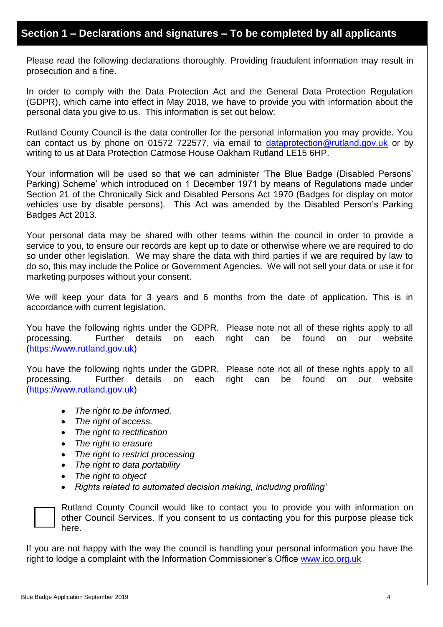# **Section 1 – Declarations and signatures – To be completed by all applicants**

Please read the following declarations thoroughly. Providing fraudulent information may result in prosecution and a fine.

In order to comply with the Data Protection Act and the General Data Protection Regulation (GDPR), which came into effect in May 2018, we have to provide you with information about the personal data you give to us. This information is set out below:

Rutland County Council is the data controller for the personal information you may provide. You can contact us by phone on 01572 722577, via email to [dataprotection@rutland.gov.uk](mailto:dataprotection@rutland.gov.uk) or by writing to us at Data Protection Catmose House Oakham Rutland LE15 6HP.

Your information will be used so that we can administer 'The Blue Badge (Disabled Persons' Parking) Scheme' which introduced on 1 December 1971 by means of Regulations made under Section 21 of the Chronically Sick and Disabled Persons Act 1970 (Badges for display on motor vehicles use by disable persons). This Act was amended by the Disabled Person's Parking Badges Act 2013.

Your personal data may be shared with other teams within the council in order to provide a service to you, to ensure our records are kept up to date or otherwise where we are required to do so under other legislation. We may share the data with third parties if we are required by law to do so, this may include the Police or Government Agencies. We will not sell your data or use it for marketing purposes without your consent.

We will keep your data for 3 years and 6 months from the date of application. This is in accordance with current legislation.

You have the following rights under the GDPR. Please note not all of these rights apply to all processing. Further details on each right can be found on our website [\(https://www.rutland.gov.uk\)](https://www.rutland.gov.uk/)

You have the following rights under the GDPR. Please note not all of these rights apply to all processing. Further details on each right can be found on our website [\(https://www.rutland.gov.uk\)](https://www.rutland.gov.uk/)

- *The right to be informed.*
- *The right of access.*
- *The right to rectification*
- *The right to erasure*
- *The right to restrict processing*
- *The right to data portability*
- *The right to object*
- *Rights related to automated decision making, including profiling'*



Rutland County Council would like to contact you to provide you with information on other Council Services. If you consent to us contacting you for this purpose please tick here.

If you are not happy with the way the council is handling your personal information you have the right to lodge a complaint with the Information Commissioner's Office [www.ico.org.uk](http://www.ico.org.uk/)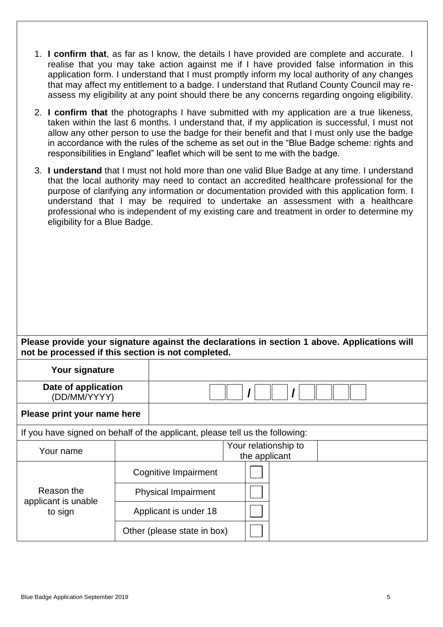- 1. **I confirm that**, as far as I know, the details I have provided are complete and accurate. I realise that you may take action against me if I have provided false information in this application form. I understand that I must promptly inform my local authority of any changes that may affect my entitlement to a badge. I understand that Rutland County Council may reassess my eligibility at any point should there be any concerns regarding ongoing eligibility.
- 2. **I confirm that** the photographs I have submitted with my application are a true likeness, taken within the last 6 months. I understand that, if my application is successful, I must not allow any other person to use the badge for their benefit and that I must only use the badge in accordance with the rules of the scheme as set out in the "Blue Badge scheme: rights and responsibilities in England" leaflet which will be sent to me with the badge.
- 3. **I understand** that I must not hold more than one valid Blue Badge at any time. I understand that the local authority may need to contact an accredited healthcare professional for the purpose of clarifying any information or documentation provided with this application form. I understand that I may be required to undertake an assessment with a healthcare professional who is independent of my existing care and treatment in order to determine my eligibility for a Blue Badge.

# **Please provide your signature against the declarations in section 1 above. Applications will not be processed if this section is not completed.**

| Your signature                                                               |  |                             |                                       |
|------------------------------------------------------------------------------|--|-----------------------------|---------------------------------------|
| Date of application<br>(DD/MM/YYYY)                                          |  |                             |                                       |
| Please print your name here                                                  |  |                             |                                       |
| If you have signed on behalf of the applicant, please tell us the following: |  |                             |                                       |
| Your name                                                                    |  |                             | Your relationship to<br>the applicant |
|                                                                              |  | Cognitive Impairment        |                                       |
| Reason the<br>applicant is unable<br>to sign                                 |  | <b>Physical Impairment</b>  |                                       |
|                                                                              |  | Applicant is under 18       |                                       |
|                                                                              |  | Other (please state in box) |                                       |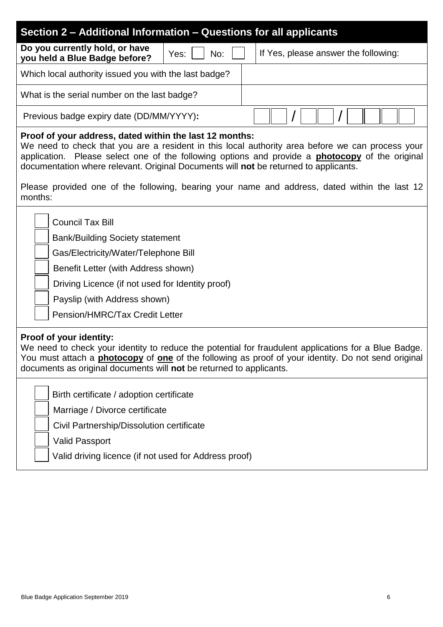| Section 2 – Additional Information – Questions for all applicants                                                                                                                                                                                                                                                                                                                                                                                                         |  |  |
|---------------------------------------------------------------------------------------------------------------------------------------------------------------------------------------------------------------------------------------------------------------------------------------------------------------------------------------------------------------------------------------------------------------------------------------------------------------------------|--|--|
| Do you currently hold, or have<br>If Yes, please answer the following:<br>No:<br>Yes:<br>you held a Blue Badge before?                                                                                                                                                                                                                                                                                                                                                    |  |  |
| Which local authority issued you with the last badge?                                                                                                                                                                                                                                                                                                                                                                                                                     |  |  |
| What is the serial number on the last badge?                                                                                                                                                                                                                                                                                                                                                                                                                              |  |  |
| Previous badge expiry date (DD/MM/YYYY):                                                                                                                                                                                                                                                                                                                                                                                                                                  |  |  |
| Proof of your address, dated within the last 12 months:<br>We need to check that you are a resident in this local authority area before we can process your<br>application. Please select one of the following options and provide a <b>photocopy</b> of the original<br>documentation where relevant. Original Documents will not be returned to applicants.<br>Please provided one of the following, bearing your name and address, dated within the last 12<br>months: |  |  |
| <b>Council Tax Bill</b><br><b>Bank/Building Society statement</b><br>Gas/Electricity/Water/Telephone Bill<br>Benefit Letter (with Address shown)<br>Driving Licence (if not used for Identity proof)<br>Payslip (with Address shown)<br>Pension/HMRC/Tax Credit Letter                                                                                                                                                                                                    |  |  |
| Proof of your identity:<br>We need to check your identity to reduce the potential for fraudulent applications for a Blue Badge.<br>You must attach a <b>photocopy</b> of <b>one</b> of the following as proof of your identity. Do not send original<br>documents as original documents will not be returned to applicants.                                                                                                                                               |  |  |
| Birth certificate / adoption certificate<br>Marriage / Divorce certificate<br>Civil Partnership/Dissolution certificate<br><b>Valid Passport</b><br>Valid driving licence (if not used for Address proof)                                                                                                                                                                                                                                                                 |  |  |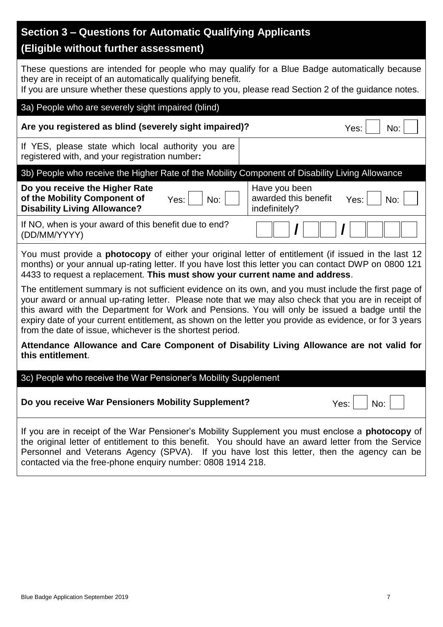| Section 3 – Questions for Automatic Qualifying Applicants<br>(Eligible without further assessment)                                                                                                                                                                                                                                                                                                                                                                                       |  |  |  |
|------------------------------------------------------------------------------------------------------------------------------------------------------------------------------------------------------------------------------------------------------------------------------------------------------------------------------------------------------------------------------------------------------------------------------------------------------------------------------------------|--|--|--|
| These questions are intended for people who may qualify for a Blue Badge automatically because<br>they are in receipt of an automatically qualifying benefit.<br>If you are unsure whether these questions apply to you, please read Section 2 of the guidance notes.                                                                                                                                                                                                                    |  |  |  |
| 3a) People who are severely sight impaired (blind)                                                                                                                                                                                                                                                                                                                                                                                                                                       |  |  |  |
| Are you registered as blind (severely sight impaired)?<br>Yes:<br>No:                                                                                                                                                                                                                                                                                                                                                                                                                    |  |  |  |
| If YES, please state which local authority you are<br>registered with, and your registration number:                                                                                                                                                                                                                                                                                                                                                                                     |  |  |  |
| 3b) People who receive the Higher Rate of the Mobility Component of Disability Living Allowance                                                                                                                                                                                                                                                                                                                                                                                          |  |  |  |
| Do you receive the Higher Rate<br>Have you been<br>of the Mobility Component of<br>awarded this benefit<br>Yes:<br>Yes:<br>No:<br>No:<br><b>Disability Living Allowance?</b><br>indefinitely?                                                                                                                                                                                                                                                                                            |  |  |  |
| If NO, when is your award of this benefit due to end?<br>(DD/MM/YYYY)                                                                                                                                                                                                                                                                                                                                                                                                                    |  |  |  |
| You must provide a <b>photocopy</b> of either your original letter of entitlement (if issued in the last 12<br>months) or your annual up-rating letter. If you have lost this letter you can contact DWP on 0800 121<br>4433 to request a replacement. This must show your current name and address.                                                                                                                                                                                     |  |  |  |
| The entitlement summary is not sufficient evidence on its own, and you must include the first page of<br>your award or annual up-rating letter. Please note that we may also check that you are in receipt of<br>this award with the Department for Work and Pensions. You will only be issued a badge until the<br>expiry date of your current entitlement, as shown on the letter you provide as evidence, or for 3 years<br>from the date of issue, whichever is the shortest period. |  |  |  |
| Attendance Allowance and Care Component of Disability Living Allowance are not valid for<br>this entitlement.                                                                                                                                                                                                                                                                                                                                                                            |  |  |  |
| 3c) People who receive the War Pensioner's Mobility Supplement                                                                                                                                                                                                                                                                                                                                                                                                                           |  |  |  |
| Do you receive War Pensioners Mobility Supplement?<br>Yes:<br>No:                                                                                                                                                                                                                                                                                                                                                                                                                        |  |  |  |
| If you are in receipt of the War Pensioner's Mobility Supplement you must enclose a photocopy of<br>the original letter of entitlement to this benefit. You should have an award letter from the Service<br>Personnel and Veterans Agency (SPVA). If you have lost this letter, then the agency can be<br>contacted via the free-phone enquiry number: 0808 1914 218.                                                                                                                    |  |  |  |
|                                                                                                                                                                                                                                                                                                                                                                                                                                                                                          |  |  |  |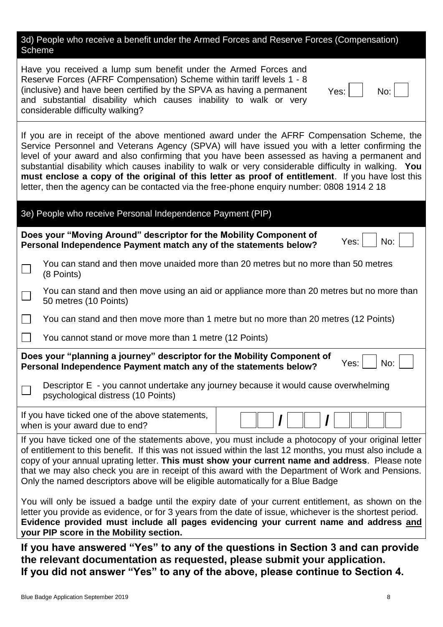3d) People who receive a benefit under the Armed Forces and Reserve Forces (Compensation) Scheme

Have you received a lump sum benefit under the Armed Forces and Reserve Forces (AFRF Compensation) Scheme within tariff levels 1 - 8 (inclusive) and have been certified by the SPVA as having a permanent and substantial disability which causes inability to walk or very considerable difficulty walking?

If you are in receipt of the above mentioned award under the AFRF Compensation Scheme, the Service Personnel and Veterans Agency (SPVA) will have issued you with a letter confirming the level of your award and also confirming that you have been assessed as having a permanent and substantial disability which causes inability to walk or very considerable difficulty in walking. **You must enclose a copy of the original of this letter as proof of entitlement**. If you have lost this letter, then the agency can be contacted via the free-phone enquiry number: 0808 1914 2 18

**If you have answered "Yes" to any of the questions in Section 3 and can provide the relevant documentation as requested, please submit your application. If you did not answer "Yes" to any of the above, please continue to Section 4.**

Yes: No: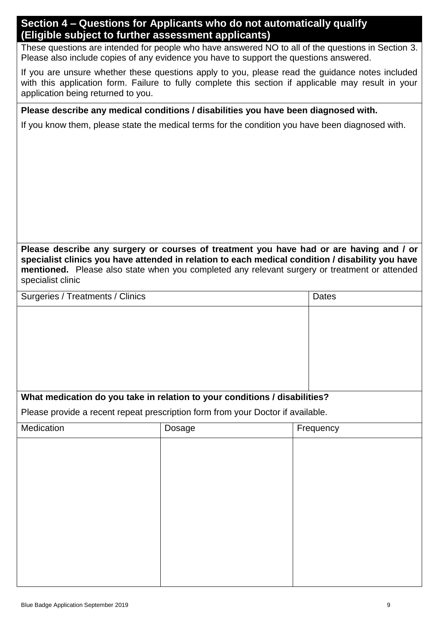# **Section 4 – Questions for Applicants who do not automatically qualify (Eligible subject to further assessment applicants)**

These questions are intended for people who have answered NO to all of the questions in Section 3. Please also include copies of any evidence you have to support the questions answered.

If you are unsure whether these questions apply to you, please read the guidance notes included with this application form. Failure to fully complete this section if applicable may result in your application being returned to you.

# **Please describe any medical conditions / disabilities you have been diagnosed with.**

If you know them, please state the medical terms for the condition you have been diagnosed with.

**Please describe any surgery or courses of treatment you have had or are having and / or specialist clinics you have attended in relation to each medical condition / disability you have mentioned.** Please also state when you completed any relevant surgery or treatment or attended specialist clinic

| Surgeries / Treatments / Clinics | Dates |
|----------------------------------|-------|
|                                  |       |
|                                  |       |
|                                  |       |
|                                  |       |
|                                  |       |
|                                  |       |

# **What medication do you take in relation to your conditions / disabilities?**

Please provide a recent repeat prescription form from your Doctor if available.

| Medication | Dosage | Frequency |
|------------|--------|-----------|
|            |        |           |
|            |        |           |
|            |        |           |
|            |        |           |
|            |        |           |
|            |        |           |
|            |        |           |
|            |        |           |
|            |        |           |
|            |        |           |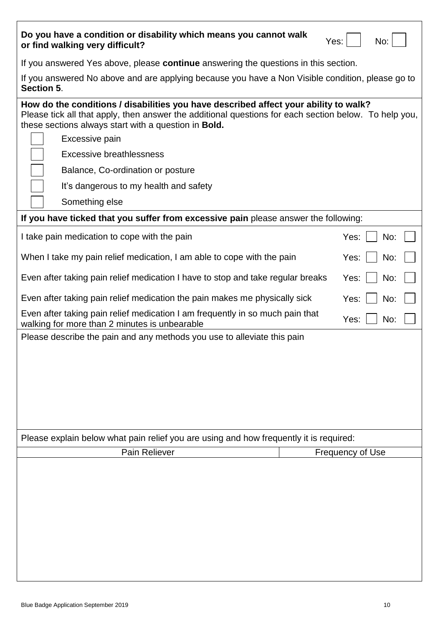| Do you have a condition or disability which means you cannot walk<br>or find walking very difficult?                                                                                                                                                                                                                                                                                                        |  | No:<br>Yes:      |  |
|-------------------------------------------------------------------------------------------------------------------------------------------------------------------------------------------------------------------------------------------------------------------------------------------------------------------------------------------------------------------------------------------------------------|--|------------------|--|
| If you answered Yes above, please continue answering the questions in this section.                                                                                                                                                                                                                                                                                                                         |  |                  |  |
| If you answered No above and are applying because you have a Non Visible condition, please go to<br>Section 5.                                                                                                                                                                                                                                                                                              |  |                  |  |
| How do the conditions / disabilities you have described affect your ability to walk?<br>Please tick all that apply, then answer the additional questions for each section below. To help you,<br>these sections always start with a question in <b>Bold.</b><br>Excessive pain<br>Excessive breathlessness<br>Balance, Co-ordination or posture<br>It's dangerous to my health and safety<br>Something else |  |                  |  |
| If you have ticked that you suffer from excessive pain please answer the following:                                                                                                                                                                                                                                                                                                                         |  |                  |  |
| I take pain medication to cope with the pain                                                                                                                                                                                                                                                                                                                                                                |  | Yes:<br>No:      |  |
| When I take my pain relief medication, I am able to cope with the pain                                                                                                                                                                                                                                                                                                                                      |  | Yes:<br>No:      |  |
| Even after taking pain relief medication I have to stop and take regular breaks                                                                                                                                                                                                                                                                                                                             |  | Yes:<br>No:      |  |
| Even after taking pain relief medication the pain makes me physically sick                                                                                                                                                                                                                                                                                                                                  |  | Yes:<br>No:      |  |
| Even after taking pain relief medication I am frequently in so much pain that<br>Yes:<br>No:<br>walking for more than 2 minutes is unbearable                                                                                                                                                                                                                                                               |  |                  |  |
| Please describe the pain and any methods you use to alleviate this pain                                                                                                                                                                                                                                                                                                                                     |  |                  |  |
| Please explain below what pain relief you are using and how frequently it is required:                                                                                                                                                                                                                                                                                                                      |  |                  |  |
| Pain Reliever                                                                                                                                                                                                                                                                                                                                                                                               |  | Frequency of Use |  |
|                                                                                                                                                                                                                                                                                                                                                                                                             |  |                  |  |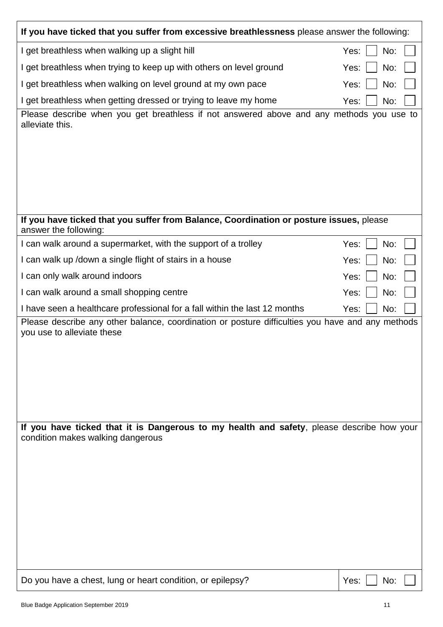| If you have ticked that you suffer from excessive breathlessness please answer the following:                                  |             |  |  |
|--------------------------------------------------------------------------------------------------------------------------------|-------------|--|--|
| I get breathless when walking up a slight hill                                                                                 | No:<br>Yes: |  |  |
| I get breathless when trying to keep up with others on level ground                                                            | No:<br>Yes: |  |  |
| I get breathless when walking on level ground at my own pace                                                                   | No:<br>Yes: |  |  |
| I get breathless when getting dressed or trying to leave my home                                                               | No:<br>Yes: |  |  |
| Please describe when you get breathless if not answered above and any methods you use to<br>alleviate this.                    |             |  |  |
| If you have ticked that you suffer from Balance, Coordination or posture issues, please                                        |             |  |  |
| answer the following:                                                                                                          |             |  |  |
| I can walk around a supermarket, with the support of a trolley                                                                 | No:<br>Yes: |  |  |
| I can walk up / down a single flight of stairs in a house                                                                      | No:<br>Yes: |  |  |
| I can only walk around indoors                                                                                                 | Yes:<br>No: |  |  |
| I can walk around a small shopping centre                                                                                      | No:<br>Yes: |  |  |
| I have seen a healthcare professional for a fall within the last 12 months                                                     | No:<br>Yes: |  |  |
| Please describe any other balance, coordination or posture difficulties you have and any methods<br>you use to alleviate these |             |  |  |
| If you have ticked that it is Dangerous to my health and safety, please describe how your<br>condition makes walking dangerous |             |  |  |
| Do you have a chest, lung or heart condition, or epilepsy?                                                                     | Yes:<br>No: |  |  |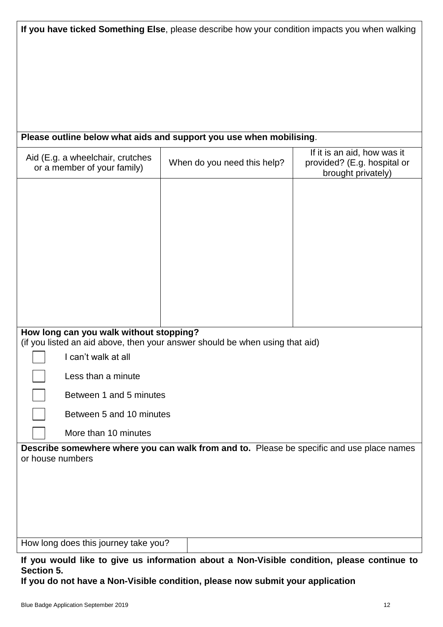| If you have ticked Something Else, please describe how your condition impacts you when walking |  |  |  |
|------------------------------------------------------------------------------------------------|--|--|--|
|------------------------------------------------------------------------------------------------|--|--|--|

# **Please outline below what aids and support you use when mobilising**.

| Aid (E.g. a wheelchair, crutches<br>or a member of your family)                                               | When do you need this help? | If it is an aid, how was it<br>provided? (E.g. hospital or<br>brought privately) |  |  |
|---------------------------------------------------------------------------------------------------------------|-----------------------------|----------------------------------------------------------------------------------|--|--|
|                                                                                                               |                             |                                                                                  |  |  |
|                                                                                                               |                             |                                                                                  |  |  |
|                                                                                                               |                             |                                                                                  |  |  |
|                                                                                                               |                             |                                                                                  |  |  |
|                                                                                                               |                             |                                                                                  |  |  |
|                                                                                                               |                             |                                                                                  |  |  |
|                                                                                                               |                             |                                                                                  |  |  |
| How long can you walk without stopping?                                                                       |                             |                                                                                  |  |  |
| (if you listed an aid above, then your answer should be when using that aid)                                  |                             |                                                                                  |  |  |
| I can't walk at all                                                                                           |                             |                                                                                  |  |  |
| Less than a minute                                                                                            |                             |                                                                                  |  |  |
| Between 1 and 5 minutes                                                                                       |                             |                                                                                  |  |  |
| Between 5 and 10 minutes                                                                                      |                             |                                                                                  |  |  |
| More than 10 minutes                                                                                          |                             |                                                                                  |  |  |
| Describe somewhere where you can walk from and to. Please be specific and use place names<br>or house numbers |                             |                                                                                  |  |  |
|                                                                                                               |                             |                                                                                  |  |  |
|                                                                                                               |                             |                                                                                  |  |  |
|                                                                                                               |                             |                                                                                  |  |  |
|                                                                                                               |                             |                                                                                  |  |  |
| How long does this journey take you?                                                                          |                             |                                                                                  |  |  |
|                                                                                                               |                             |                                                                                  |  |  |

**If you would like to give us information about a Non-Visible condition, please continue to Section 5.** 

**If you do not have a Non-Visible condition, please now submit your application**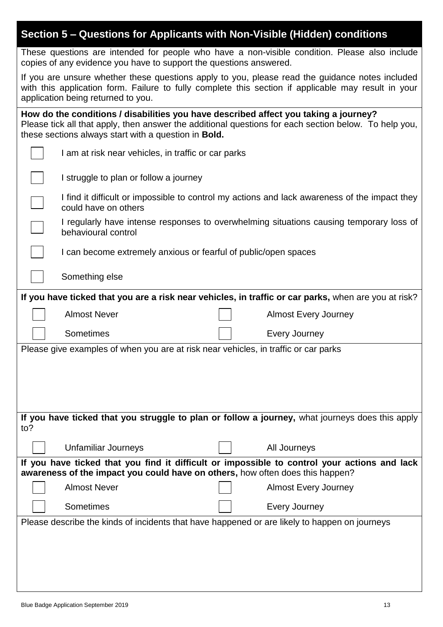| Section 5 - Questions for Applicants with Non-Visible (Hidden) conditions                                                                                                                                                                                    |                                                                                               |  |                                                                                                      |  |
|--------------------------------------------------------------------------------------------------------------------------------------------------------------------------------------------------------------------------------------------------------------|-----------------------------------------------------------------------------------------------|--|------------------------------------------------------------------------------------------------------|--|
| These questions are intended for people who have a non-visible condition. Please also include<br>copies of any evidence you have to support the questions answered.                                                                                          |                                                                                               |  |                                                                                                      |  |
| If you are unsure whether these questions apply to you, please read the guidance notes included<br>with this application form. Failure to fully complete this section if applicable may result in your<br>application being returned to you.                 |                                                                                               |  |                                                                                                      |  |
| How do the conditions / disabilities you have described affect you taking a journey?<br>Please tick all that apply, then answer the additional questions for each section below. To help you,<br>these sections always start with a question in <b>Bold.</b> |                                                                                               |  |                                                                                                      |  |
|                                                                                                                                                                                                                                                              | I am at risk near vehicles, in traffic or car parks                                           |  |                                                                                                      |  |
|                                                                                                                                                                                                                                                              | I struggle to plan or follow a journey                                                        |  |                                                                                                      |  |
|                                                                                                                                                                                                                                                              | could have on others                                                                          |  | I find it difficult or impossible to control my actions and lack awareness of the impact they        |  |
|                                                                                                                                                                                                                                                              | behavioural control                                                                           |  | I regularly have intense responses to overwhelming situations causing temporary loss of              |  |
|                                                                                                                                                                                                                                                              | I can become extremely anxious or fearful of public/open spaces                               |  |                                                                                                      |  |
|                                                                                                                                                                                                                                                              | Something else                                                                                |  |                                                                                                      |  |
|                                                                                                                                                                                                                                                              |                                                                                               |  | If you have ticked that you are a risk near vehicles, in traffic or car parks, when are you at risk? |  |
|                                                                                                                                                                                                                                                              | <b>Almost Never</b><br><b>Almost Every Journey</b>                                            |  |                                                                                                      |  |
|                                                                                                                                                                                                                                                              | Sometimes                                                                                     |  | <b>Every Journey</b>                                                                                 |  |
|                                                                                                                                                                                                                                                              | Please give examples of when you are at risk near vehicles, in traffic or car parks           |  |                                                                                                      |  |
|                                                                                                                                                                                                                                                              |                                                                                               |  |                                                                                                      |  |
|                                                                                                                                                                                                                                                              |                                                                                               |  |                                                                                                      |  |
| If you have ticked that you struggle to plan or follow a journey, what journeys does this apply                                                                                                                                                              |                                                                                               |  |                                                                                                      |  |
| to?                                                                                                                                                                                                                                                          |                                                                                               |  |                                                                                                      |  |
|                                                                                                                                                                                                                                                              | <b>Unfamiliar Journeys</b>                                                                    |  | All Journeys                                                                                         |  |
| If you have ticked that you find it difficult or impossible to control your actions and lack<br>awareness of the impact you could have on others, how often does this happen?                                                                                |                                                                                               |  |                                                                                                      |  |
|                                                                                                                                                                                                                                                              | <b>Almost Never</b>                                                                           |  | <b>Almost Every Journey</b>                                                                          |  |
|                                                                                                                                                                                                                                                              | Sometimes                                                                                     |  | <b>Every Journey</b>                                                                                 |  |
|                                                                                                                                                                                                                                                              | Please describe the kinds of incidents that have happened or are likely to happen on journeys |  |                                                                                                      |  |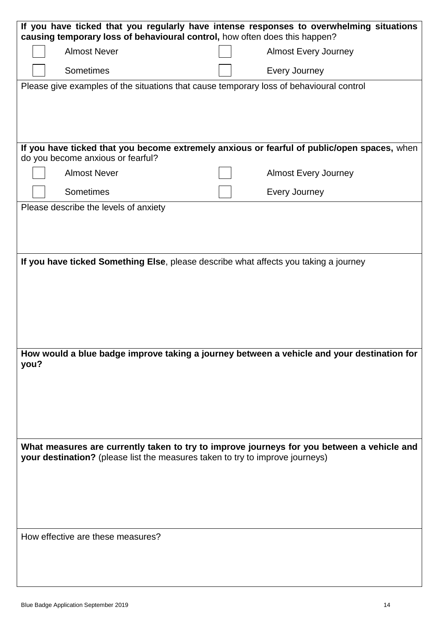| If you have ticked that you regularly have intense responses to overwhelming situations<br>causing temporary loss of behavioural control, how often does this happen?       |                                                                                         |  |                                                                                             |  |
|-----------------------------------------------------------------------------------------------------------------------------------------------------------------------------|-----------------------------------------------------------------------------------------|--|---------------------------------------------------------------------------------------------|--|
|                                                                                                                                                                             | <b>Almost Never</b>                                                                     |  | <b>Almost Every Journey</b>                                                                 |  |
|                                                                                                                                                                             | Sometimes                                                                               |  | Every Journey                                                                               |  |
|                                                                                                                                                                             | Please give examples of the situations that cause temporary loss of behavioural control |  |                                                                                             |  |
|                                                                                                                                                                             |                                                                                         |  |                                                                                             |  |
|                                                                                                                                                                             |                                                                                         |  |                                                                                             |  |
|                                                                                                                                                                             |                                                                                         |  | If you have ticked that you become extremely anxious or fearful of public/open spaces, when |  |
|                                                                                                                                                                             | do you become anxious or fearful?                                                       |  |                                                                                             |  |
|                                                                                                                                                                             | <b>Almost Never</b>                                                                     |  | <b>Almost Every Journey</b>                                                                 |  |
|                                                                                                                                                                             | Sometimes                                                                               |  | Every Journey                                                                               |  |
|                                                                                                                                                                             | Please describe the levels of anxiety                                                   |  |                                                                                             |  |
|                                                                                                                                                                             |                                                                                         |  |                                                                                             |  |
|                                                                                                                                                                             |                                                                                         |  |                                                                                             |  |
|                                                                                                                                                                             | If you have ticked Something Else, please describe what affects you taking a journey    |  |                                                                                             |  |
|                                                                                                                                                                             |                                                                                         |  |                                                                                             |  |
|                                                                                                                                                                             |                                                                                         |  |                                                                                             |  |
|                                                                                                                                                                             |                                                                                         |  |                                                                                             |  |
|                                                                                                                                                                             |                                                                                         |  |                                                                                             |  |
|                                                                                                                                                                             |                                                                                         |  | How would a blue badge improve taking a journey between a vehicle and your destination for  |  |
| you?                                                                                                                                                                        |                                                                                         |  |                                                                                             |  |
|                                                                                                                                                                             |                                                                                         |  |                                                                                             |  |
|                                                                                                                                                                             |                                                                                         |  |                                                                                             |  |
|                                                                                                                                                                             |                                                                                         |  |                                                                                             |  |
|                                                                                                                                                                             |                                                                                         |  |                                                                                             |  |
| What measures are currently taken to try to improve journeys for you between a vehicle and<br>your destination? (please list the measures taken to try to improve journeys) |                                                                                         |  |                                                                                             |  |
|                                                                                                                                                                             |                                                                                         |  |                                                                                             |  |
|                                                                                                                                                                             |                                                                                         |  |                                                                                             |  |
|                                                                                                                                                                             |                                                                                         |  |                                                                                             |  |
|                                                                                                                                                                             |                                                                                         |  |                                                                                             |  |
|                                                                                                                                                                             | How effective are these measures?                                                       |  |                                                                                             |  |
|                                                                                                                                                                             |                                                                                         |  |                                                                                             |  |
|                                                                                                                                                                             |                                                                                         |  |                                                                                             |  |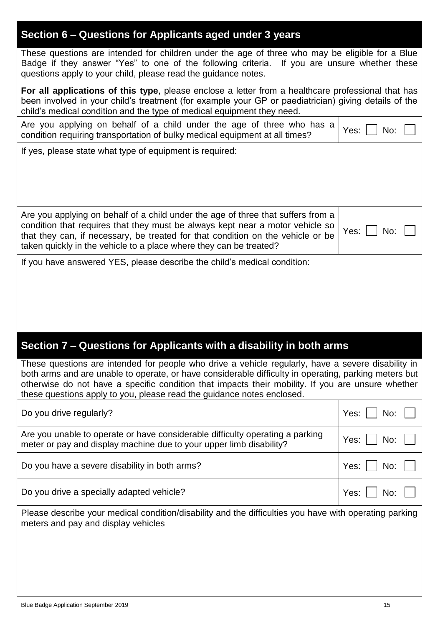# **Section 6 – Questions for Applicants aged under 3 years**

These questions are intended for children under the age of three who may be eligible for a Blue Badge if they answer "Yes" to one of the following criteria. If you are unsure whether these questions apply to your child, please read the guidance notes.

**For all applications of this type**, please enclose a letter from a healthcare professional that has been involved in your child's treatment (for example your GP or paediatrician) giving details of the child's medical condition and the type of medical equipment they need.

| we you applying on behalf of a child under the age of three who has a $\gamma$ es: $\Box$ No |  |
|----------------------------------------------------------------------------------------------|--|
| condition requiring transportation of bulky medical equipment at all times?                  |  |

If yes, please state what type of equipment is required:

Are you applying on behalf of a child under the age of three that suffers from a condition that requires that they must be always kept near a motor vehicle so that they can, if necessary, be treated for that condition on the vehicle or be taken quickly in the vehicle to a place where they can be treated? Yes: No:

If you have answered YES, please describe the child's medical condition:

# **Section 7 – Questions for Applicants with a disability in both arms**

These questions are intended for people who drive a vehicle regularly, have a severe disability in both arms and are unable to operate, or have considerable difficulty in operating, parking meters but otherwise do not have a specific condition that impacts their mobility. If you are unsure whether these questions apply to you, please read the guidance notes enclosed.

| Do you drive regularly?                                                                                                                              | Yes: $\Box$ No: $\Box$                   |  |
|------------------------------------------------------------------------------------------------------------------------------------------------------|------------------------------------------|--|
| Are you unable to operate or have considerable difficulty operating a parking<br>meter or pay and display machine due to your upper limb disability? | Yes: $\vert$ $\vert$ No: $\vert$ $\vert$ |  |
| Do you have a severe disability in both arms?                                                                                                        | Yes: $\vert$ $\vert$ No: $\vert$ $\vert$ |  |
| Do you drive a specially adapted vehicle?                                                                                                            | Yes: $\Box$ No: $\Box$                   |  |
| Please describe your medical condition/disability and the difficulties you have with operating parking<br>meters and pay and display vehicles        |                                          |  |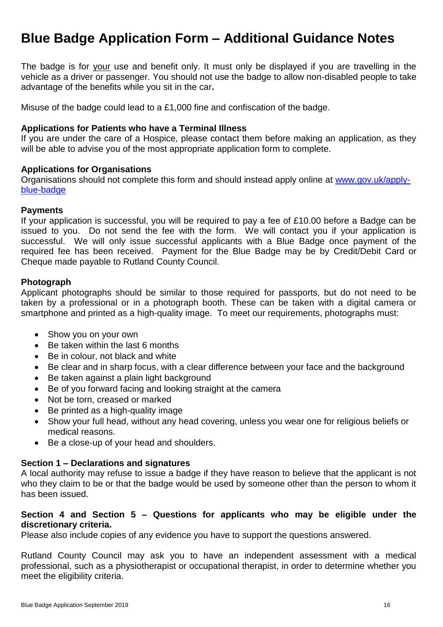# **Blue Badge Application Form – Additional Guidance Notes**

The badge is for your use and benefit only. It must only be displayed if you are travelling in the vehicle as a driver or passenger. You should not use the badge to allow non-disabled people to take advantage of the benefits while you sit in the car**.**

Misuse of the badge could lead to a £1,000 fine and confiscation of the badge.

#### **Applications for Patients who have a Terminal Illness**

If you are under the care of a Hospice, please contact them before making an application, as they will be able to advise you of the most appropriate application form to complete.

#### **Applications for Organisations**

Organisations should not complete this form and should instead apply online at [www.gov.uk/apply](https://www.gov.uk/apply-blue-badge)[blue-badge](https://www.gov.uk/apply-blue-badge)

#### **Payments**

If your application is successful, you will be required to pay a fee of £10.00 before a Badge can be issued to you. Do not send the fee with the form. We will contact you if your application is successful. We will only issue successful applicants with a Blue Badge once payment of the required fee has been received. Payment for the Blue Badge may be by Credit/Debit Card or Cheque made payable to Rutland County Council.

#### **Photograph**

Applicant photographs should be similar to those required for passports, but do not need to be taken by a professional or in a photograph booth. These can be taken with a digital camera or smartphone and printed as a high-quality image. To meet our requirements, photographs must:

- Show you on your own
- Be taken within the last 6 months
- Be in colour, not black and white
- Be clear and in sharp focus, with a clear difference between your face and the background
- Be taken against a plain light background
- Be of you forward facing and looking straight at the camera
- Not be torn, creased or marked
- Be printed as a high-quality image
- Show your full head, without any head covering, unless you wear one for religious beliefs or medical reasons.
- Be a close-up of your head and shoulders.

### **Section 1 – Declarations and signatures**

A local authority may refuse to issue a badge if they have reason to believe that the applicant is not who they claim to be or that the badge would be used by someone other than the person to whom it has been issued.

### **Section 4 and Section 5 – Questions for applicants who may be eligible under the discretionary criteria.**

Please also include copies of any evidence you have to support the questions answered.

Rutland County Council may ask you to have an independent assessment with a medical professional, such as a physiotherapist or occupational therapist, in order to determine whether you meet the eligibility criteria.